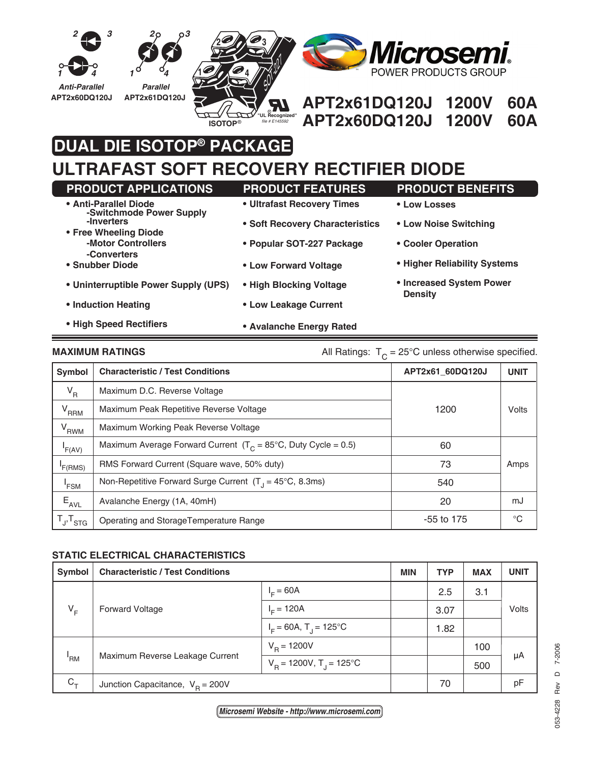

# **DUAL DIE ISOTOP® PACKAGE**

## **ULTRAFAST SOFT RECOVERY RECTIFIER DIODE**

| <b>PRODUCT APPLICATIONS</b>                       | <b>PRODUCT FEATURES</b>         | <b>PRODUCT BENEFITS</b>                    |
|---------------------------------------------------|---------------------------------|--------------------------------------------|
| • Anti-Parallel Diode<br>-Switchmode Power Supply | • Ultrafast Recovery Times      | • Low Losses                               |
| -Inverters<br>• Free Wheeling Diode               | • Soft Recovery Characteristics | • Low Noise Switching                      |
| -Motor Controllers<br>-Converters                 | • Popular SOT-227 Package       | • Cooler Operation                         |
| • Snubber Diode                                   | • Low Forward Voltage           | • Higher Reliability Systems               |
| • Uninterruptible Power Supply (UPS)              | • High Blocking Voltage         | • Increased System Power<br><b>Density</b> |
| • Induction Heating                               | • Low Leakage Current           |                                            |
| • High Speed Rectifiers                           | • Avalanche Energy Rated        |                                            |

### **MAXIMUM RATINGS** MAXIMUM RATINGS All Ratings:  $T_c = 25^\circ \text{C}$  unless otherwise specified.

| Symbol              | <b>Characteristic / Test Conditions</b>                                   | APT2x61 60DQ120J | <b>UNIT</b> |
|---------------------|---------------------------------------------------------------------------|------------------|-------------|
| $V_R$               | Maximum D.C. Reverse Voltage                                              |                  |             |
| $V_{RRM}$           | Maximum Peak Repetitive Reverse Voltage                                   | 1200             | Volts       |
| $V_{RWM}$           | Maximum Working Peak Reverse Voltage                                      |                  |             |
| F(AV)               | Maximum Average Forward Current $(T_c = 85^{\circ}C,$ Duty Cycle = 0.5)   | 60               |             |
| F(RMS)              | RMS Forward Current (Square wave, 50% duty)                               | 73               | Amps        |
| 'FSM                | Non-Repetitive Forward Surge Current $(T_1 = 45^{\circ}C, 8.3 \text{ms})$ | 540              |             |
| $E_{AVL}$           | Avalanche Energy (1A, 40mH)                                               | 20               | mJ          |
| $T_{J}$ , $T_{STG}$ | Operating and StorageTemperature Range                                    | $-55$ to 175     | $^{\circ}C$ |

#### **STATIC ELECTRICAL CHARACTERISTICS**

| Symbol     | <b>Characteristic / Test Conditions</b> |                                        | <b>MIN</b> | <b>TYP</b> | <b>MAX</b> | <b>UNIT</b> |
|------------|-----------------------------------------|----------------------------------------|------------|------------|------------|-------------|
| $V_F$      | <b>Forward Voltage</b>                  | $IE = 60A$                             |            | 2.5        | 3.1        | Volts       |
|            |                                         | $I_c = 120A$                           |            | 3.07       |            |             |
|            |                                         | $I_F = 60A$ , $T_A = 125^{\circ}C$     |            | 1.82       |            |             |
| 'RM        | Maximum Reverse Leakage Current         | $V_{\rm p} = 1200V$                    |            |            | 100        |             |
|            |                                         | $V_B = 1200V$ , T <sub>J</sub> = 125°C |            |            | 500        | μA          |
| $C_{\tau}$ | Junction Capacitance, $V_B = 200V$      |                                        |            | 70         |            | pF          |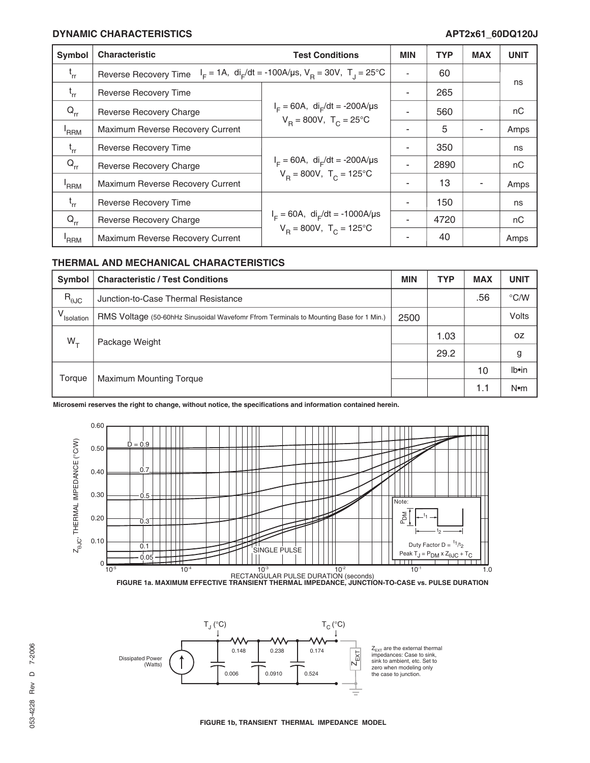#### **DYNAMIC CHARACTERISTICS APT2x61\_60DQ120J**

| Symbol           | <b>Characteristic</b>                                                                                             | <b>Test Conditions</b>                                                                                   | <b>MIN</b> | <b>TYP</b> | <b>MAX</b> | <b>UNIT</b> |
|------------------|-------------------------------------------------------------------------------------------------------------------|----------------------------------------------------------------------------------------------------------|------------|------------|------------|-------------|
| $t_{rr}$         | $I_F = 1A$ , di <sub>r</sub> /dt = -100A/us, V <sub>B</sub> = 30V, T <sub>J</sub> = 25°C<br>Reverse Recovery Time |                                                                                                          |            | 60         |            |             |
| $t_{rr}$         | Reverse Recovery Time                                                                                             |                                                                                                          |            | 265        |            | ns          |
| $Q_{rr}$         | <b>Reverse Recovery Charge</b>                                                                                    | $I_F = 60A$ , di <sub>F</sub> /dt = -200A/µs<br>$V_{\text{p}} = 800V, T_{\text{c}} = 25^{\circ}\text{C}$ |            | 560        |            | nC          |
| <sup>'</sup> RRM | Maximum Reverse Recovery Current                                                                                  |                                                                                                          |            | 5          |            | Amps        |
| $t_{rr}$         | Reverse Recovery Time                                                                                             | $I_F = 60A$ , di <sub>F</sub> /dt = -200A/µs<br>$V_B = 800V$ , $T_C = 125^{\circ}C$                      |            | 350        |            | ns          |
| $Q_{rr}$         | Reverse Recovery Charge                                                                                           |                                                                                                          |            | 2890       |            | nC          |
| <sup>'</sup> RRM | Maximum Reverse Recovery Current                                                                                  |                                                                                                          |            | 13         |            | Amps        |
| $t_{rr}$         | Reverse Recovery Time                                                                                             | $I_F = 60A$ , di <sub>F</sub> /dt = -1000A/µs<br>$V_B = 800V$ , $T_C = 125^{\circ}C$                     |            | 150        |            | ns          |
| $Q_{rr}$         | Reverse Recovery Charge                                                                                           |                                                                                                          |            | 4720       |            | nC          |
| 'RRM             | Maximum Reverse Recovery Current                                                                                  |                                                                                                          |            | 40         |            | Amps        |

#### **THERMAL AND MECHANICAL CHARACTERISTICS**

| Symbol                 | <b>Characteristic / Test Conditions</b>                                                | <b>MIN</b> | <b>TYP</b> | <b>MAX</b> | <b>UNIT</b>   |
|------------------------|----------------------------------------------------------------------------------------|------------|------------|------------|---------------|
| $R_{\theta$ JC         | Junction-to-Case Thermal Resistance                                                    |            |            | .56        | $\degree$ C/W |
| V <sub>Isolation</sub> | RMS Voltage (50-60hHz Sinusoidal Wavefomr Ffrom Terminals to Mounting Base for 1 Min.) | 2500       |            |            | Volts         |
| $W_{+}$                | Package Weight                                                                         |            | 1.03       |            | 0Z            |
|                        |                                                                                        |            | 29.2       |            | g             |
| Torque                 | <b>Maximum Mounting Torque</b>                                                         |            |            | 10         | Ib•in         |
|                        |                                                                                        |            |            | 1.1        | $N$ •m        |

**Microsemi reserves the right to change, without notice, the specifications and information contained herein.**





**FIGURE 1b, TRANSIENT THERMAL IMPEDANCE MODEL**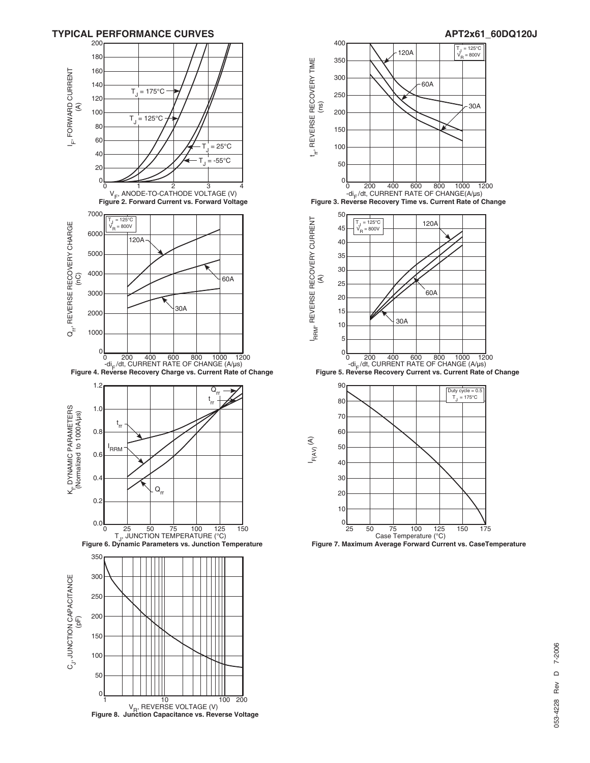



## 7-2006 053-4228 Rev D 7-2006  $\circ$ Rev 053-4228